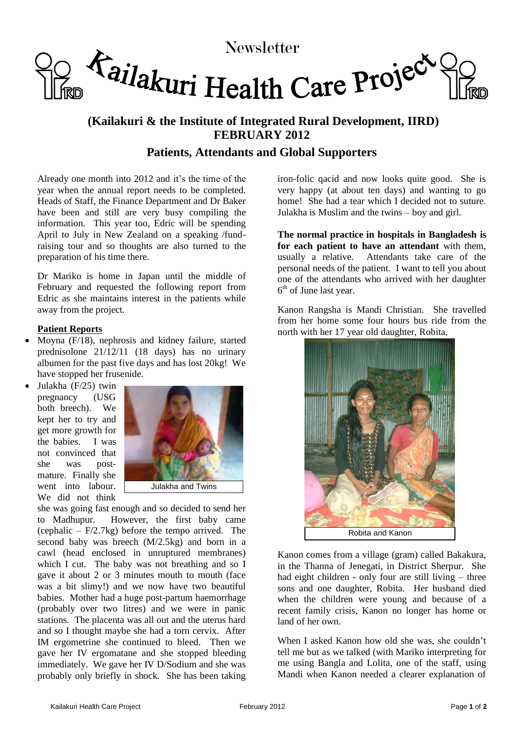

**(Kailakuri & the Institute of Integrated Rural Development, IIRD) FEBRUARY 2012**

## **Patients, Attendants and Global Supporters**

Already one month into 2012 and it's the time of the year when the annual report needs to be completed. Heads of Staff, the Finance Department and Dr Baker have been and still are very busy compiling the information. This year too, Edric will be spending April to July in New Zealand on a speaking /fundraising tour and so thoughts are also turned to the preparation of his time there.

Dr Mariko is home in Japan until the middle of February and requested the following report from Edric as she maintains interest in the patients while away from the project.

## **Patient Reports**

- Moyna  $(F/18)$ , nephrosis and kidney failure, started prednisolone 21/12/11 (18 days) has no urinary albumen for the past five days and has lost 20kg! We have stopped her frusenide.
- Julakha (F/25) twin pregnancy (USG both breech). We kept her to try and get more growth for the babies. I was not convinced that she was postmature. Finally she went into labour. We did not think



she was going fast enough and so decided to send her to Madhupur. However, the first baby came (cephalic  $- F/2.7kg$ ) before the tempo arrived. The second baby was breech (M/2.5kg) and born in a cawl (head enclosed in unruptured membranes) which I cut. The baby was not breathing and so I gave it about 2 or 3 minutes mouth to mouth (face was a bit slimy!) and we now have two beautiful babies. Mother had a huge post-partum haemorrhage (probably over two litres) and we were in panic stations. The placenta was all out and the uterus hard and so I thought maybe she had a torn cervix. After IM ergometrine she continued to bleed. Then we gave her IV ergomatane and she stopped bleeding immediately. We gave her IV D/Sodium and she was probably only briefly in shock. She has been taking

iron-folic qacid and now looks quite good. She is very happy (at about ten days) and wanting to go home! She had a tear which I decided not to suture. Julakha is Muslim and the twins – boy and girl.

**The normal practice in hospitals in Bangladesh is for each patient to have an attendant** with them, usually a relative. Attendants take care of the personal needs of the patient. I want to tell you about one of the attendants who arrived with her daughter 6<sup>th</sup> of June last year.

Kanon Rangsha is Mandi Christian. She travelled from her home some four hours bus ride from the north with her 17 year old daughter, Robita,



Kanon comes from a village (gram) called Bakakura, in the Thanna of Jenegati, in District Sherpur. She had eight children - only four are still living – three sons and one daughter, Robita. Her husband died when the children were young and because of a recent family crisis, Kanon no longer has home or land of her own.

When I asked Kanon how old she was, she couldn't tell me but as we talked (with Mariko interpreting for me using Bangla and Lolita, one of the staff, using Mandi when Kanon needed a clearer explanation of